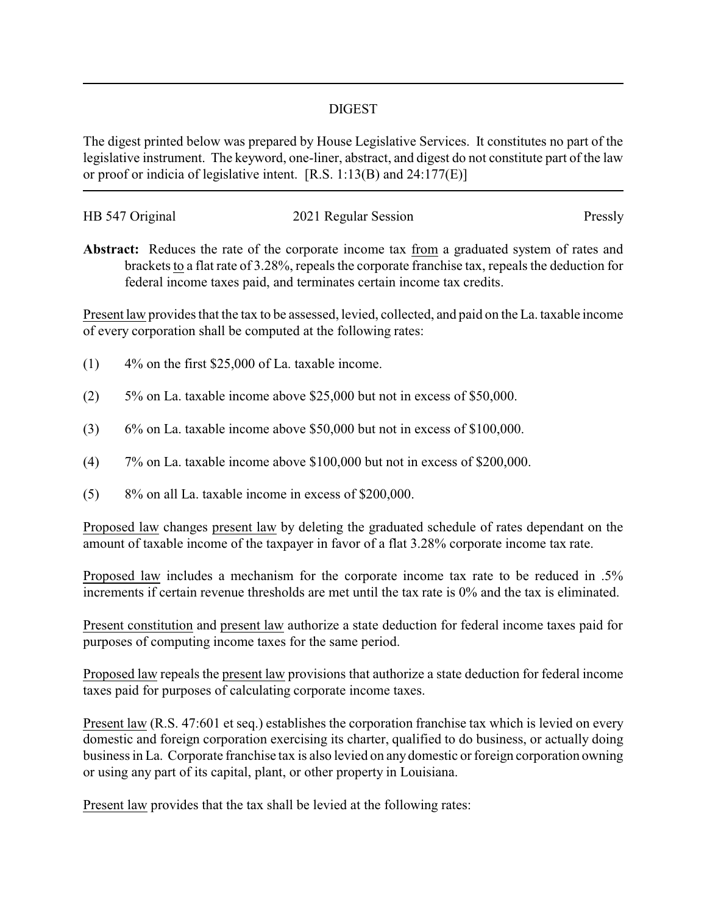## DIGEST

The digest printed below was prepared by House Legislative Services. It constitutes no part of the legislative instrument. The keyword, one-liner, abstract, and digest do not constitute part of the law or proof or indicia of legislative intent. [R.S. 1:13(B) and 24:177(E)]

| HB 547 Original | 2021 Regular Session | Pressly |
|-----------------|----------------------|---------|
|                 |                      |         |
|                 |                      |         |

**Abstract:** Reduces the rate of the corporate income tax from a graduated system of rates and brackets to a flat rate of 3.28%, repeals the corporate franchise tax, repeals the deduction for federal income taxes paid, and terminates certain income tax credits.

Present law provides that the tax to be assessed, levied, collected, and paid on the La. taxable income of every corporation shall be computed at the following rates:

- $(1)$  4% on the first \$25,000 of La. taxable income.
- (2) 5% on La. taxable income above \$25,000 but not in excess of \$50,000.
- (3) 6% on La. taxable income above \$50,000 but not in excess of \$100,000.
- (4) 7% on La. taxable income above \$100,000 but not in excess of \$200,000.
- (5) 8% on all La. taxable income in excess of \$200,000.

Proposed law changes present law by deleting the graduated schedule of rates dependant on the amount of taxable income of the taxpayer in favor of a flat 3.28% corporate income tax rate.

Proposed law includes a mechanism for the corporate income tax rate to be reduced in .5% increments if certain revenue thresholds are met until the tax rate is 0% and the tax is eliminated.

Present constitution and present law authorize a state deduction for federal income taxes paid for purposes of computing income taxes for the same period.

Proposed law repeals the present law provisions that authorize a state deduction for federal income taxes paid for purposes of calculating corporate income taxes.

Present law (R.S. 47:601 et seq.) establishes the corporation franchise tax which is levied on every domestic and foreign corporation exercising its charter, qualified to do business, or actually doing business in La. Corporate franchise tax is also levied on anydomestic or foreign corporation owning or using any part of its capital, plant, or other property in Louisiana.

Present law provides that the tax shall be levied at the following rates: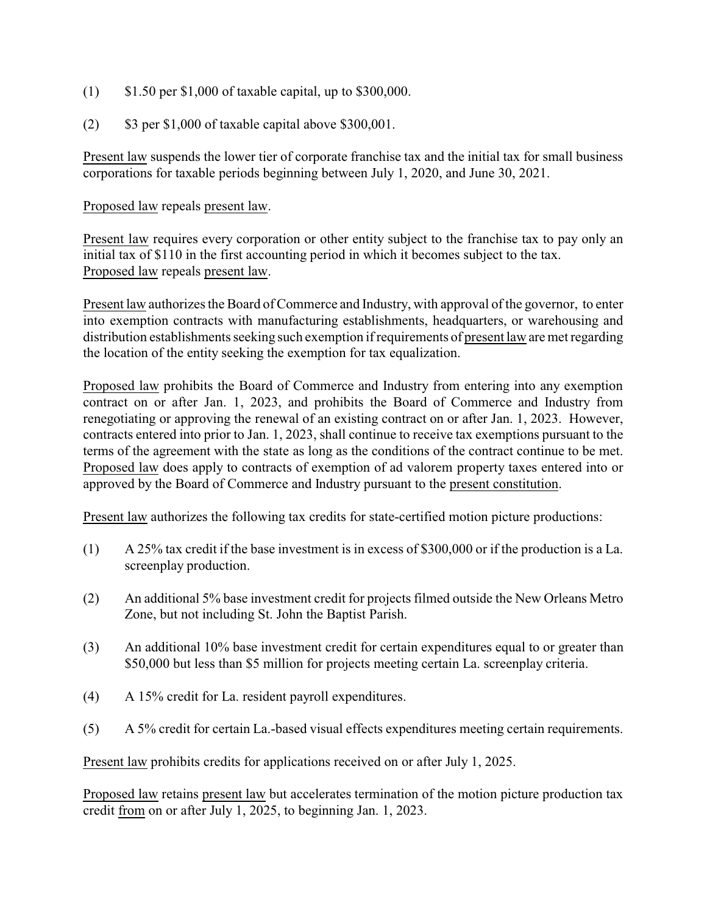- $(1)$  \$1.50 per \$1,000 of taxable capital, up to \$300,000.
- $(2)$  \$3 per \$1,000 of taxable capital above \$300,001.

Present law suspends the lower tier of corporate franchise tax and the initial tax for small business corporations for taxable periods beginning between July 1, 2020, and June 30, 2021.

## Proposed law repeals present law.

Present law requires every corporation or other entity subject to the franchise tax to pay only an initial tax of \$110 in the first accounting period in which it becomes subject to the tax. Proposed law repeals present law.

Present law authorizes the Board of Commerce and Industry, with approval of the governor, to enter into exemption contracts with manufacturing establishments, headquarters, or warehousing and distribution establishments seeking such exemption if requirements of present law are met regarding the location of the entity seeking the exemption for tax equalization.

Proposed law prohibits the Board of Commerce and Industry from entering into any exemption contract on or after Jan. 1, 2023, and prohibits the Board of Commerce and Industry from renegotiating or approving the renewal of an existing contract on or after Jan. 1, 2023. However, contracts entered into prior to Jan. 1, 2023, shall continue to receive tax exemptions pursuant to the terms of the agreement with the state as long as the conditions of the contract continue to be met. Proposed law does apply to contracts of exemption of ad valorem property taxes entered into or approved by the Board of Commerce and Industry pursuant to the present constitution.

Present law authorizes the following tax credits for state-certified motion picture productions:

- (1) A 25% tax credit if the base investment is in excess of \$300,000 or if the production is a La. screenplay production.
- (2) An additional 5% base investment credit for projects filmed outside the New Orleans Metro Zone, but not including St. John the Baptist Parish.
- (3) An additional 10% base investment credit for certain expenditures equal to or greater than \$50,000 but less than \$5 million for projects meeting certain La. screenplay criteria.
- (4) A 15% credit for La. resident payroll expenditures.
- (5) A 5% credit for certain La.-based visual effects expenditures meeting certain requirements.

Present law prohibits credits for applications received on or after July 1, 2025.

Proposed law retains present law but accelerates termination of the motion picture production tax credit from on or after July 1, 2025, to beginning Jan. 1, 2023.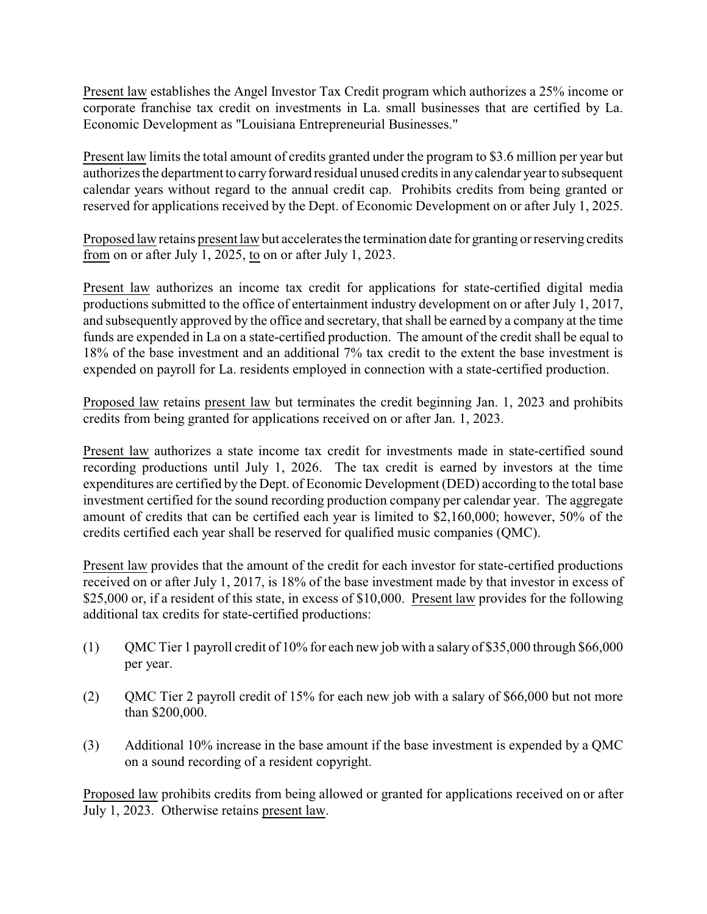Present law establishes the Angel Investor Tax Credit program which authorizes a 25% income or corporate franchise tax credit on investments in La. small businesses that are certified by La. Economic Development as "Louisiana Entrepreneurial Businesses."

Present law limits the total amount of credits granted under the program to \$3.6 million per year but authorizes the department to carryforward residual unused credits in anycalendar year to subsequent calendar years without regard to the annual credit cap. Prohibits credits from being granted or reserved for applications received by the Dept. of Economic Development on or after July 1, 2025.

Proposed law retains present law but accelerates the termination date for granting or reserving credits from on or after July 1, 2025, to on or after July 1, 2023.

Present law authorizes an income tax credit for applications for state-certified digital media productions submitted to the office of entertainment industry development on or after July 1, 2017, and subsequently approved by the office and secretary, that shall be earned by a company at the time funds are expended in La on a state-certified production. The amount of the credit shall be equal to 18% of the base investment and an additional 7% tax credit to the extent the base investment is expended on payroll for La. residents employed in connection with a state-certified production.

Proposed law retains present law but terminates the credit beginning Jan. 1, 2023 and prohibits credits from being granted for applications received on or after Jan. 1, 2023.

Present law authorizes a state income tax credit for investments made in state-certified sound recording productions until July 1, 2026. The tax credit is earned by investors at the time expenditures are certified by the Dept. of Economic Development (DED) according to the total base investment certified for the sound recording production company per calendar year. The aggregate amount of credits that can be certified each year is limited to \$2,160,000; however, 50% of the credits certified each year shall be reserved for qualified music companies (QMC).

Present law provides that the amount of the credit for each investor for state-certified productions received on or after July 1, 2017, is 18% of the base investment made by that investor in excess of \$25,000 or, if a resident of this state, in excess of \$10,000. Present law provides for the following additional tax credits for state-certified productions:

- (1) QMC Tier 1 payroll credit of 10% for each new job with a salary of \$35,000 through \$66,000 per year.
- (2) QMC Tier 2 payroll credit of 15% for each new job with a salary of \$66,000 but not more than \$200,000.
- (3) Additional 10% increase in the base amount if the base investment is expended by a QMC on a sound recording of a resident copyright.

Proposed law prohibits credits from being allowed or granted for applications received on or after July 1, 2023. Otherwise retains present law.